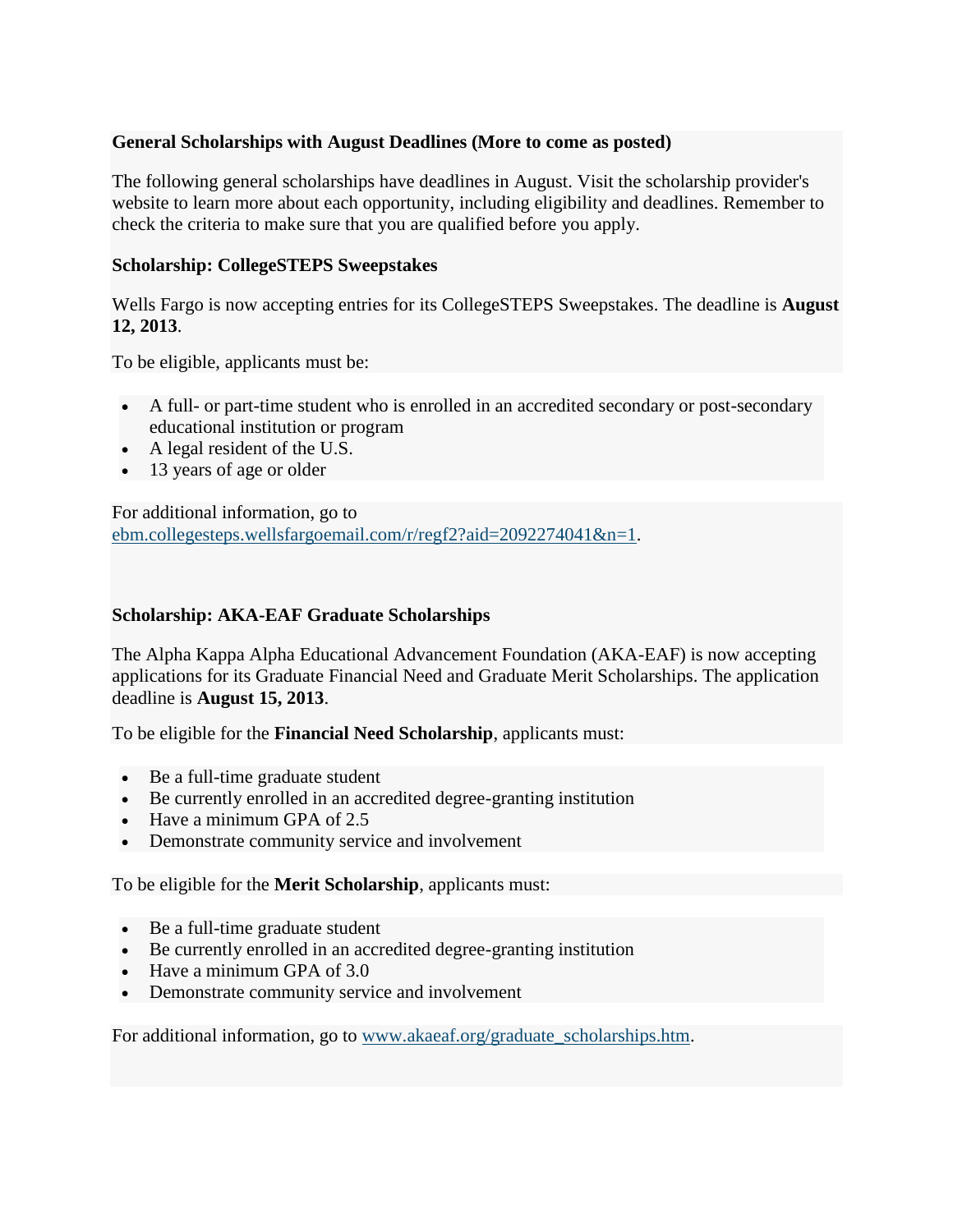# **General Scholarships with August Deadlines (More to come as posted)**

The following general scholarships have deadlines in August. Visit the scholarship provider's website to learn more about each opportunity, including eligibility and deadlines. Remember to check the criteria to make sure that you are qualified before you apply.

## **Scholarship: CollegeSTEPS Sweepstakes**

Wells Fargo is now accepting entries for its CollegeSTEPS Sweepstakes. The deadline is **August 12, 2013**.

To be eligible, applicants must be:

- A full- or part-time student who is enrolled in an accredited secondary or post-secondary educational institution or program
- A legal resident of the U.S.
- 13 years of age or older

For additional information, go to [ebm.collegesteps.wellsfargoemail.com/r/regf2?aid=2092274041&n=1.](http://ebm.collegesteps.wellsfargoemail.com/r/regf2?aid=2092274041&n=1)

## **Scholarship: AKA-EAF Graduate Scholarships**

The Alpha Kappa Alpha Educational Advancement Foundation (AKA-EAF) is now accepting applications for its Graduate Financial Need and Graduate Merit Scholarships. The application deadline is **August 15, 2013**.

To be eligible for the **Financial Need Scholarship**, applicants must:

- Be a full-time graduate student
- Be currently enrolled in an accredited degree-granting institution
- Have a minimum GPA of 2.5
- Demonstrate community service and involvement

To be eligible for the **Merit Scholarship**, applicants must:

- Be a full-time graduate student
- Be currently enrolled in an accredited degree-granting institution
- Have a minimum GPA of 3.0
- Demonstrate community service and involvement

For additional information, go to [www.akaeaf.org/graduate\\_scholarships.htm.](http://www.akaeaf.org/graduate_scholarships.htm)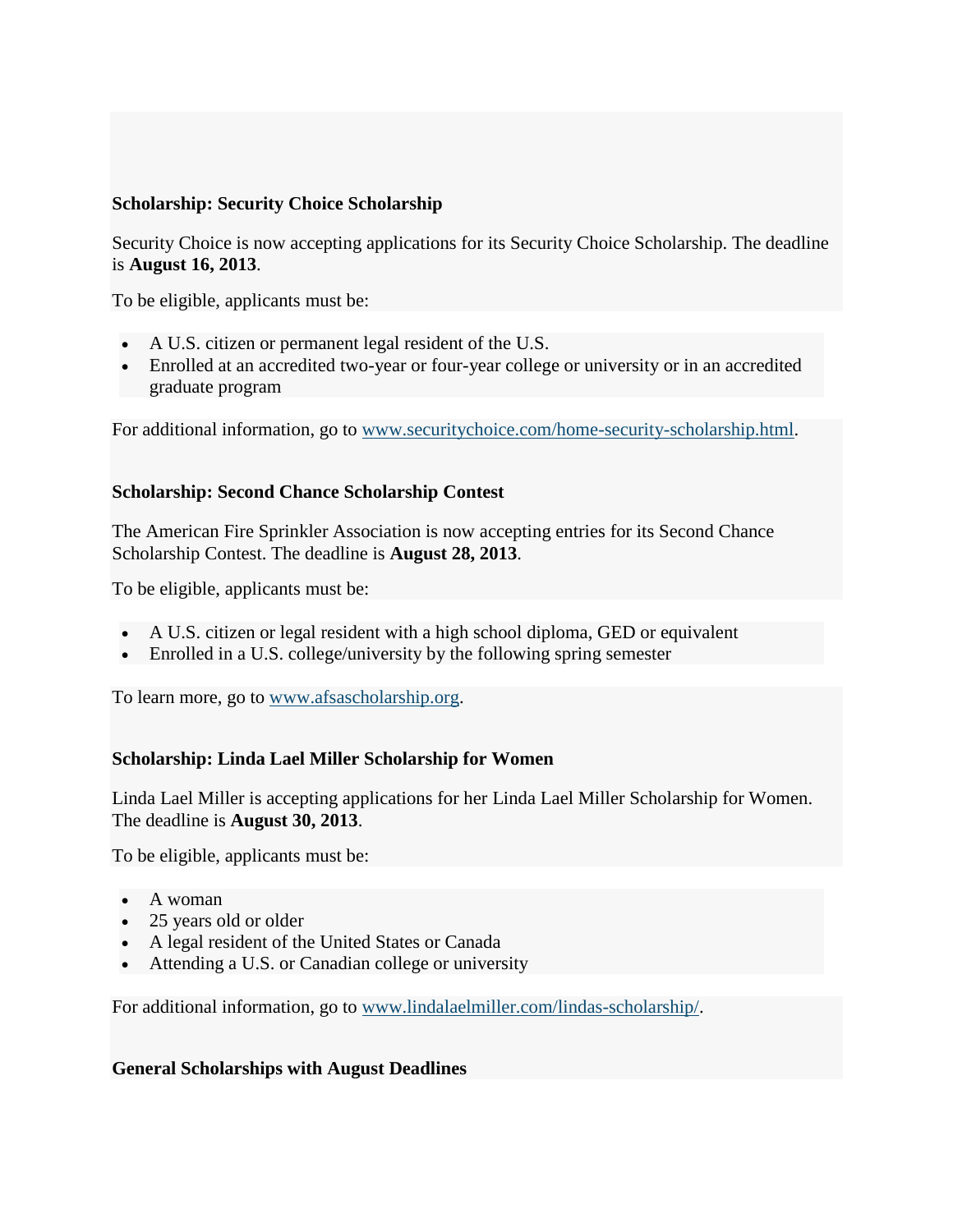## **Scholarship: Security Choice Scholarship**

Security Choice is now accepting applications for its Security Choice Scholarship. The deadline is **August 16, 2013**.

To be eligible, applicants must be:

- A U.S. citizen or permanent legal resident of the U.S.
- Enrolled at an accredited two-year or four-year college or university or in an accredited graduate program

For additional information, go to [www.securitychoice.com/home-security-scholarship.html.](http://www.securitychoice.com/home-security-scholarship.html)

#### **Scholarship: Second Chance Scholarship Contest**

The American Fire Sprinkler Association is now accepting entries for its Second Chance Scholarship Contest. The deadline is **August 28, 2013**.

To be eligible, applicants must be:

- A U.S. citizen or legal resident with a high school diploma, GED or equivalent
- Enrolled in a U.S. college/university by the following spring semester

To learn more, go to [www.afsascholarship.org.](http://www.afsascholarship.org/)

#### **Scholarship: Linda Lael Miller Scholarship for Women**

Linda Lael Miller is accepting applications for her Linda Lael Miller Scholarship for Women. The deadline is **August 30, 2013**.

To be eligible, applicants must be:

- A woman
- 25 years old or older
- A legal resident of the United States or Canada
- Attending a U.S. or Canadian college or university

For additional information, go to [www.lindalaelmiller.com/lindas-scholarship/.](http://www.lindalaelmiller.com/lindas-scholarship/)

#### **General Scholarships with August Deadlines**